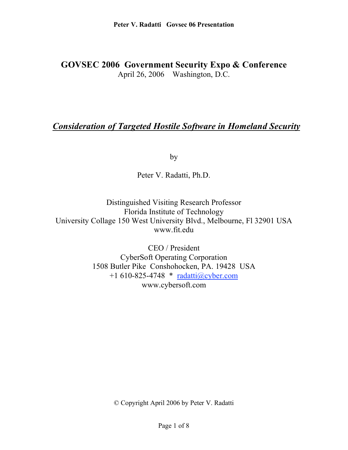# **GOVSEC 2006 Government Security Expo & Conference** April 26, 2006 Washington, D.C.

# *Consideration of Targeted Hostile Software in Homeland Security*

by

Peter V. Radatti, Ph.D.

Distinguished Visiting Research Professor Florida Institute of Technology University Collage 150 West University Blvd., Melbourne, Fl 32901 USA www.fit.edu

> CEO / President CyberSoft Operating Corporation 1508 Butler Pike Conshohocken, PA. 19428 USA +1 610-825-4748 \* radatti@cyber.com www.cybersoft.com

> > © Copyright April 2006 by Peter V. Radatti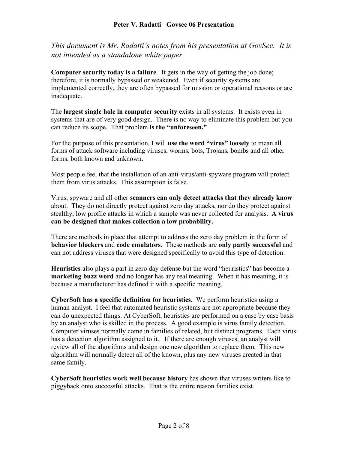#### **Peter V. Radatti Govsec 06 Presentation**

*This document is Mr. Radatti's notes from his presentation at GovSec. It is not intended as a standalone white paper.*

**Computer security today is a failure**. It gets in the way of getting the job done; therefore, it is normally bypassed or weakened. Even if security systems are implemented correctly, they are often bypassed for mission or operational reasons or are inadequate.

The **largest single hole in computer security** exists in all systems. It exists even in systems that are of very good design. There is no way to eliminate this problem but you can reduce its scope. That problem **is the "unforeseen."**

For the purpose of this presentation, I will **use the word "virus" loosely** to mean all forms of attack software including viruses, worms, bots, Trojans, bombs and all other forms, both known and unknown.

Most people feel that the installation of an anti-virus/anti-spyware program will protect them from virus attacks. This assumption is false.

Virus, spyware and all other **scanners can only detect attacks that they already know** about. They do not directly protect against zero day attacks, nor do they protect against stealthy, low profile attacks in which a sample was never collected for analysis. **A virus can be designed that makes collection a low probability.**

There are methods in place that attempt to address the zero day problem in the form of **behavior blockers** and **code emulators**. These methods are **only partly successful** and can not address viruses that were designed specifically to avoid this type of detection.

**Heuristics** also plays a part in zero day defense but the word "heuristics" has become a **marketing buzz word** and no longer has any real meaning. When it has meaning, it is because a manufacturer has defined it with a specific meaning.

**CyberSoft has a specific definition for heuristics**. We perform heuristics using a human analyst. I feel that automated heuristic systems are not appropriate because they can do unexpected things. At CyberSoft, heuristics are performed on a case by case basis by an analyst who is skilled in the process. A good example is virus family detection. Computer viruses normally come in families of related, but distinct programs. Each virus has a detection algorithm assigned to it. If there are enough viruses, an analyst will review all of the algorithms and design one new algorithm to replace them. This new algorithm will normally detect all of the known, plus any new viruses created in that same family.

**CyberSoft heuristics work well because history** has shown that viruses writers like to piggyback onto successful attacks. That is the entire reason families exist.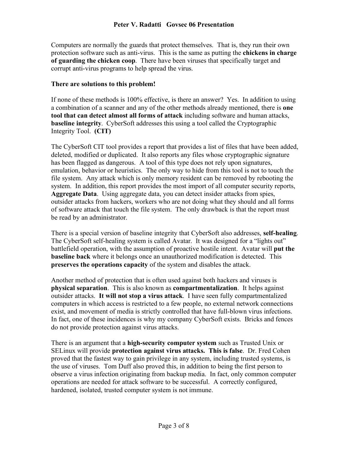Computers are normally the guards that protect themselves. That is, they run their own protection software such as anti-virus. This is the same as putting the **chickens in charge of guarding the chicken coop**. There have been viruses that specifically target and corrupt anti-virus programs to help spread the virus.

#### **There are solutions to this problem!**

If none of these methods is 100% effective, is there an answer? Yes. In addition to using a combination of a scanner and any of the other methods already mentioned, there is **one tool that can detect almost all forms of attack** including software and human attacks, **baseline integrity**. CyberSoft addresses this using a tool called the Cryptographic Integrity Tool. **(CIT)**

The CyberSoft CIT tool provides a report that provides a list of files that have been added, deleted, modified or duplicated. It also reports any files whose cryptographic signature has been flagged as dangerous. A tool of this type does not rely upon signatures, emulation, behavior or heuristics. The only way to hide from this tool is not to touch the file system. Any attack which is only memory resident can be removed by rebooting the system. In addition, this report provides the most import of all computer security reports, **Aggregate Data**. Using aggregate data, you can detect insider attacks from spies, outsider attacks from hackers, workers who are not doing what they should and all forms of software attack that touch the file system. The only drawback is that the report must be read by an administrator.

There is a special version of baseline integrity that CyberSoft also addresses, **self-healing**. The CyberSoft self-healing system is called Avatar. It was designed for a "lights out" battlefield operation, with the assumption of proactive hostile intent. Avatar will **put the baseline back** where it belongs once an unauthorized modification is detected. This **preserves the operations capacity** of the system and disables the attack.

Another method of protection that is often used against both hackers and viruses is **physical separation**. This is also known as **compartmentalization**. It helps against outsider attacks. **It will not stop a virus attack**. I have seen fully compartmentalized computers in which access is restricted to a few people, no external network connections exist, and movement of media is strictly controlled that have full-blown virus infections. In fact, one of these incidences is why my company CyberSoft exists. Bricks and fences do not provide protection against virus attacks.

There is an argument that a **high-security computer system** such as Trusted Unix or SELinux will provide **protection against virus attacks. This is false**. Dr. Fred Cohen proved that the fastest way to gain privilege in any system, including trusted systems, is the use of viruses. Tom Duff also proved this, in addition to being the first person to observe a virus infection originating from backup media. In fact, only common computer operations are needed for attack software to be successful. A correctly configured, hardened, isolated, trusted computer system is not immune.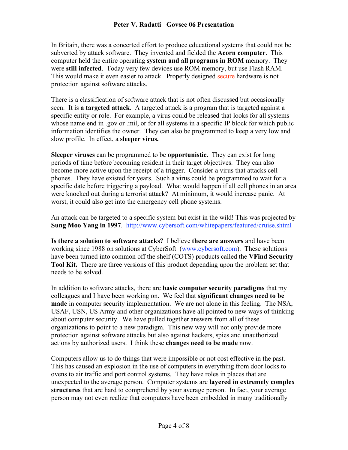#### **Peter V. Radatti Govsec 06 Presentation**

In Britain, there was a concerted effort to produce educational systems that could not be subverted by attack software. They invented and fielded the **Acorn computer**. This computer held the entire operating **system and all programs in ROM** memory. They were **still infected**. Today very few devices use ROM memory, but use Flash RAM. This would make it even easier to attack. Properly designed secure hardware is not protection against software attacks.

There is a classification of software attack that is not often discussed but occasionally seen. It is **a targeted attack**. A targeted attack is a program that is targeted against a specific entity or role. For example, a virus could be released that looks for all systems whose name end in .gov or .mil, or for all systems in a specific IP block for which public information identifies the owner. They can also be programmed to keep a very low and slow profile. In effect, a **sleeper virus.**

**Sleeper viruses** can be programmed to be **opportunistic.** They can exist for long periods of time before becoming resident in their target objectives. They can also become more active upon the receipt of a trigger. Consider a virus that attacks cell phones. They have existed for years. Such a virus could be programmed to wait for a specific date before triggering a payload. What would happen if all cell phones in an area were knocked out during a terrorist attack? At minimum, it would increase panic. At worst, it could also get into the emergency cell phone systems.

An attack can be targeted to a specific system but exist in the wild! This was projected by **Sung Moo Yang in 1997**. http://www.cybersoft.com/whitepapers/featured/cruise.shtml

**Is there a solution to software attacks?** I believe **there are answers** and have been working since 1988 on solutions at CyberSoft (www.cybersoft.com). These solutions have been turned into common off the shelf (COTS) products called the **VFind Security Tool Kit.** There are three versions of this product depending upon the problem set that needs to be solved.

In addition to software attacks, there are **basic computer security paradigms** that my colleagues and I have been working on. We feel that **significant changes need to be made** in computer security implementation. We are not alone in this feeling. The NSA, USAF, USN, US Army and other organizations have all pointed to new ways of thinking about computer security. We have pulled together answers from all of these organizations to point to a new paradigm. This new way will not only provide more protection against software attacks but also against hackers, spies and unauthorized actions by authorized users. I think these **changes need to be made** now.

Computers allow us to do things that were impossible or not cost effective in the past. This has caused an explosion in the use of computers in everything from door locks to ovens to air traffic and port control systems. They have roles in places that are unexpected to the average person. Computer systems are **layered in extremely complex structures** that are hard to comprehend by your average person. In fact, your average person may not even realize that computers have been embedded in many traditionally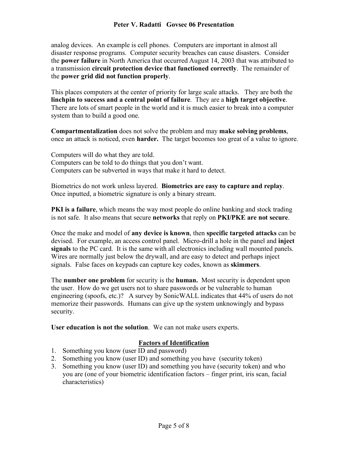#### **Peter V. Radatti Govsec 06 Presentation**

analog devices. An example is cell phones. Computers are important in almost all disaster response programs. Computer security breaches can cause disasters. Consider the **power failure** in North America that occurred August 14, 2003 that was attributed to a transmission **circuit protection device that functioned correctly**. The remainder of the **power grid did not function properly**.

This places computers at the center of priority for large scale attacks. They are both the **linchpin to success and a central point of failure**. They are a **high target objective**. There are lots of smart people in the world and it is much easier to break into a computer system than to build a good one.

**Compartmentalization** does not solve the problem and may **make solving problems**, once an attack is noticed, even **harder.** The target becomes too great of a value to ignore.

Computers will do what they are told. Computers can be told to do things that you don't want. Computers can be subverted in ways that make it hard to detect.

Biometrics do not work unless layered. **Biometrics are easy to capture and replay**. Once inputted, a biometric signature is only a binary stream.

**PKI is a failure**, which means the way most people do online banking and stock trading is not safe. It also means that secure **networks** that reply on **PKI/PKE are not secure**.

Once the make and model of **any device is known**, then **specific targeted attacks** can be devised. For example, an access control panel. Micro-drill a hole in the panel and **inject signals** to the PC card. It is the same with all electronics including wall mounted panels. Wires are normally just below the drywall, and are easy to detect and perhaps inject signals. False faces on keypads can capture key codes, known as **skimmers**.

The **number one problem** for security is the **human.** Most security is dependent upon the user. How do we get users not to share passwords or be vulnerable to human engineering (spoofs, etc.)? A survey by SonicWALL indicates that 44% of users do not memorize their passwords. Humans can give up the system unknowingly and bypass security.

**User education is not the solution**. We can not make users experts.

#### **Factors of Identification**

- 1. Something you know (user ID and password)
- 2. Something you know (user ID) and something you have (security token)
- 3. Something you know (user ID) and something you have (security token) and who you are (one of your biometric identification factors – finger print, iris scan, facial characteristics)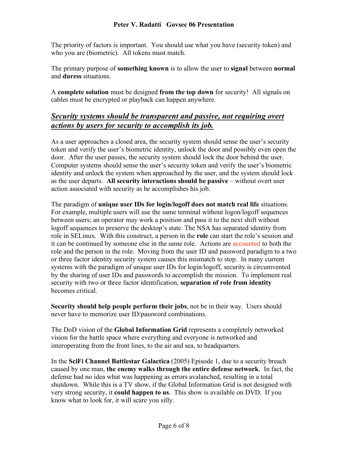The priority of factors is important. You should use what you have (security token) and who you are (biometric). All tokens must match.

The primary purpose of **something known** is to allow the user to **signal** between **normal** and **duress** situations.

A **complete solution** must be designed **from the top down** for security! All signals on cables must be encrypted or playback can happen anywhere.

### *Security systems should be transparent and passive, not requiring overt actions by users for security to accomplish its job.*

As a user approaches a closed area, the security system should sense the user's security token and verify the user's biometric identity, unlock the door and possibly even open the door. After the user passes, the security system should lock the door behind the user. Computer systems should sense the user's security token and verify the user's biometric identity and unlock the system when approached by the user, and the system should lock as the user departs. **All security interactions should be passive** – without overt user action associated with security as he accomplishes his job.

The paradigm of **unique user IDs for login/logoff does not match real life** situations. For example, multiple users will use the same terminal without logon/logoff sequences between users; an operator may work a position and pass it to the next shift without logoff sequences to preserve the desktop's state. The NSA has separated identity from role in SELinux. With this construct, a person in the **role** can start the role's session and it can be continued by someone else in the same role. Actions are accounted to both the role and the person in the role. Moving from the user ID and password paradigm to a two or three factor identity security system causes this mismatch to stop. In many current systems with the paradigm of unique user IDs for login/logoff, security is circumvented by the sharing of user IDs and passwords to accomplish the mission. To implement real security with two or three factor identification, **separation of role from identity** becomes critical.

**Security should help people perform their jobs**, not be in their way. Users should never have to memorize user ID/password combinations.

The DoD vision of the **Global Information Grid** represents a completely networked vision for the battle space where everything and everyone is networked and interoperating from the front lines, to the air and sea, to headquarters.

In the **SciFi Channel Battlestar Galactica** (2005) Episode 1, due to a security breach caused by one man, **the enemy walks through the entire defense network**. In fact, the defense had no idea what was happening as errors avalanched, resulting in a total shutdown. While this is a TV show, if the Global Information Grid is not designed with very strong security, it **could happen to us**. This show is available on DVD. If you know what to look for, it will scare you silly.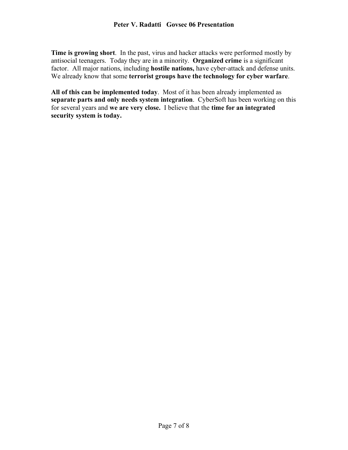**Time is growing short**. In the past, virus and hacker attacks were performed mostly by antisocial teenagers. Today they are in a minority. **Organized crime** is a significant factor. All major nations, including **hostile nations,** have cyber-attack and defense units. We already know that some **terrorist groups have the technology for cyber warfare**.

**All of this can be implemented today**. Most of it has been already implemented as **separate parts and only needs system integration**. CyberSoft has been working on this for several years and **we are very close.** I believe that the **time for an integrated security system is today.**